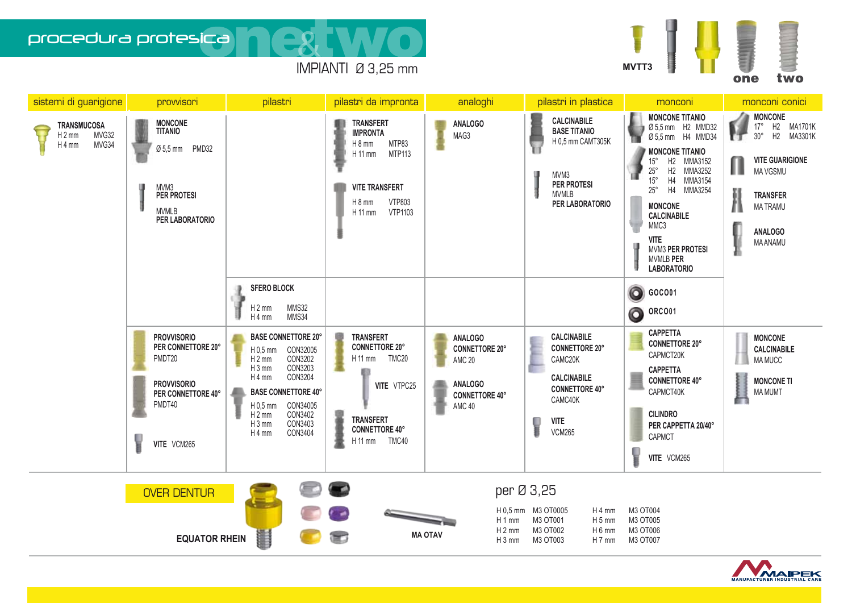

procedura protesica